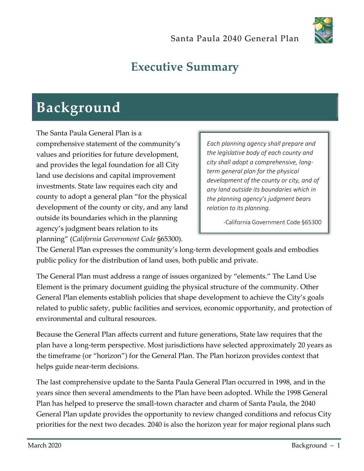

## **Executive Summary**

## **Background**

The Santa Paula General Plan is a comprehensive statement of the community's values and priorities for future development, and provides the legal foundation for all City land use decisions and capital improvement investments. State law requires each city and county to adopt a general plan "for the physical development of the county or city, and any land outside its boundaries which in the planning agency's judgment bears relation to its planning" (*California Government Code* §65300).

*Each planning agency shall prepare and the legislative body of each county and city shall adopt a comprehensive, longterm general plan for the physical development of the county or city, and of any land outside its boundaries which in the planning agency's judgment bears relation to its planning.*

-California Government Code §65300

The General Plan expresses the community's long-term development goals and embodies public policy for the distribution of land uses, both public and private.

The General Plan must address a range of issues organized by "elements." The Land Use Element is the primary document guiding the physical structure of the community. Other General Plan elements establish policies that shape development to achieve the City's goals related to public safety, public facilities and services, economic opportunity, and protection of environmental and cultural resources.

Because the General Plan affects current and future generations, State law requires that the plan have a long-term perspective. Most jurisdictions have selected approximately 20 years as the timeframe (or "horizon") for the General Plan. The Plan horizon provides context that helps guide near-term decisions.

The last comprehensive update to the Santa Paula General Plan occurred in 1998, and in the years since then several amendments to the Plan have been adopted. While the 1998 General Plan has helped to preserve the small-town character and charm of Santa Paula, the 2040 General Plan update provides the opportunity to review changed conditions and refocus City priorities for the next two decades. 2040 is also the horizon year for major regional plans such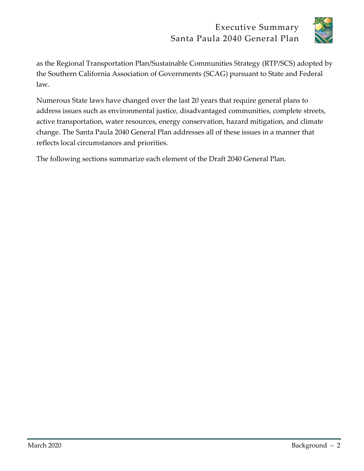

as the Regional Transportation Plan/Sustainable Communities Strategy (RTP/SCS) adopted by the Southern California Association of Governments (SCAG) pursuant to State and Federal law.

Numerous State laws have changed over the last 20 years that require general plans to address issues such as environmental justice, disadvantaged communities, complete streets, active transportation, water resources, energy conservation, hazard mitigation, and climate change. The Santa Paula 2040 General Plan addresses all of these issues in a manner that reflects local circumstances and priorities.

The following sections summarize each element of the Draft 2040 General Plan.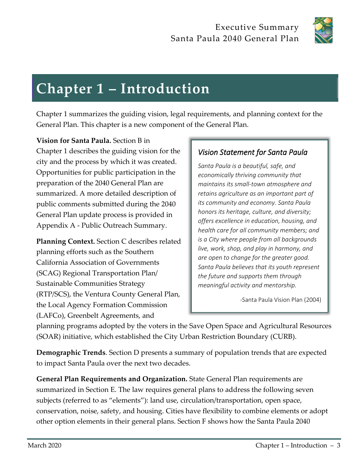

# **Chapter 1 – Introduction**

Chapter 1 summarizes the guiding vision, legal requirements, and planning context for the General Plan. This chapter is a new component of the General Plan.

**Vision for Santa Paula.** Section B in Chapter 1 describes the guiding vision for the city and the process by which it was created. Opportunities for public participation in the preparation of the 2040 General Plan are summarized. A more detailed description of public comments submitted during the 2040 General Plan update process is provided in Appendix A - Public Outreach Summary.

**Planning Context.** Section C describes related planning efforts such as the Southern California Association of Governments (SCAG) Regional Transportation Plan/ Sustainable Communities Strategy (RTP/SCS), the Ventura County General Plan, the Local Agency Formation Commission (LAFCo), Greenbelt Agreements, and

#### *Vision Statement for Santa Paula*

*Santa Paula is a beautiful, safe, and economically thriving community that maintains its small-town atmosphere and retains agriculture as an important part of its community and economy. Santa Paula honors its heritage, culture, and diversity; offers excellence in education, housing, and health care for all community members; and is a City where people from all backgrounds live, work, shop, and play in harmony, and are open to change for the greater good. Santa Paula believes that its youth represent the future and supports them through meaningful activity and mentorship.*

-Santa Paula Vision Plan (2004)

planning programs adopted by the voters in the Save Open Space and Agricultural Resources (SOAR) initiative, which established the City Urban Restriction Boundary (CURB).

**Demographic Trends**. Section D presents a summary of population trends that are expected to impact Santa Paula over the next two decades.

**General Plan Requirements and Organization.** State General Plan requirements are summarized in Section E. The law requires general plans to address the following seven subjects (referred to as "elements"): land use, circulation/transportation, open space, conservation, noise, safety, and housing. Cities have flexibility to combine elements or adopt other option elements in their general plans. Section F shows how the Santa Paula 2040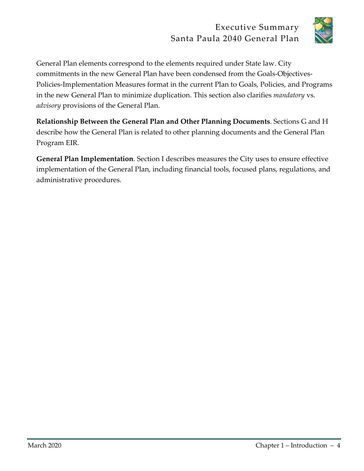

General Plan elements correspond to the elements required under State law. City commitments in the new General Plan have been condensed from the Goals-Objectives-Policies-Implementation Measures format in the current Plan to Goals, Policies, and Programs in the new General Plan to minimize duplication. This section also clarifies *mandatory* vs. *advisory* provisions of the General Plan.

**Relationship Between the General Plan and Other Planning Documents**. Sections G and H describe how the General Plan is related to other planning documents and the General Plan Program EIR.

**General Plan Implementation**. Section I describes measures the City uses to ensure effective implementation of the General Plan, including financial tools, focused plans, regulations, and administrative procedures.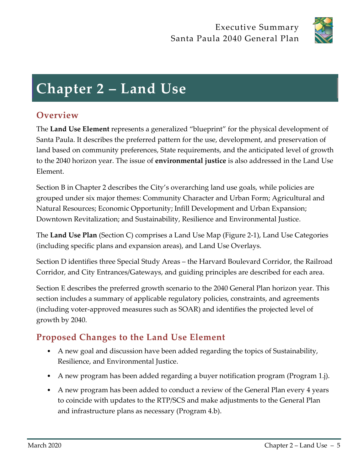

## **Chapter 2 – Land Use**

## **Overview**

The **Land Use Element** represents a generalized "blueprint" for the physical development of Santa Paula. It describes the preferred pattern for the use, development, and preservation of land based on community preferences, State requirements, and the anticipated level of growth to the 2040 horizon year. The issue of **environmental justice** is also addressed in the Land Use Element.

Section B in Chapter 2 describes the City's overarching land use goals, while policies are grouped under six major themes: Community Character and Urban Form; Agricultural and Natural Resources; Economic Opportunity; Infill Development and Urban Expansion; Downtown Revitalization; and Sustainability, Resilience and Environmental Justice.

The **Land Use Plan** (Section C) comprises a Land Use Map (Figure 2-1), Land Use Categories (including specific plans and expansion areas), and Land Use Overlays.

Section D identifies three Special Study Areas – the Harvard Boulevard Corridor, the Railroad Corridor, and City Entrances/Gateways, and guiding principles are described for each area.

Section E describes the preferred growth scenario to the 2040 General Plan horizon year. This section includes a summary of applicable regulatory policies, constraints, and agreements (including voter-approved measures such as SOAR) and identifies the projected level of growth by 2040.

## **Proposed Changes to the Land Use Element**

- A new goal and discussion have been added regarding the topics of Sustainability, Resilience, and Environmental Justice.
- A new program has been added regarding a buyer notification program (Program 1.j).
- A new program has been added to conduct a review of the General Plan every 4 years to coincide with updates to the RTP/SCS and make adjustments to the General Plan and infrastructure plans as necessary (Program 4.b).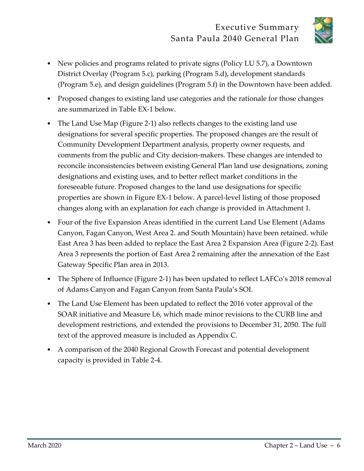

- New policies and programs related to private signs (Policy LU 5.7), a Downtown District Overlay (Program 5.c), parking (Program 5.d), development standards (Program 5.e), and design guidelines (Program 5.f) in the Downtown have been added.
- Proposed changes to existing land use categories and the rationale for those changes are summarized in Table EX-1 below.
- The Land Use Map (Figure 2-1) also reflects changes to the existing land use designations for several specific properties. The proposed changes are the result of Community Development Department analysis, property owner requests, and comments from the public and City decision-makers. These changes are intended to reconcile inconsistencies between existing General Plan land use designations, zoning designations and existing uses, and to better reflect market conditions in the foreseeable future. Proposed changes to the land use designations for specific properties are shown in Figure EX-1 below. A parcel-level listing of those proposed changes along with an explanation for each change is provided in Attachment 1.
- Four of the five Expansion Areas identified in the current Land Use Element (Adams Canyon, Fagan Canyon, West Area 2. and South Mountain) have been retained. while East Area 3 has been added to replace the East Area 2 Expansion Area (Figure 2-2). East Area 3 represents the portion of East Area 2 remaining after the annexation of the East Gateway Specific Plan area in 2013.
- The Sphere of Influence (Figure 2-1) has been updated to reflect LAFCo's 2018 removal of Adams Canyon and Fagan Canyon from Santa Paula's SOI.
- The Land Use Element has been updated to reflect the 2016 voter approval of the SOAR initiative and Measure L6, which made minor revisions to the CURB line and development restrictions, and extended the provisions to December 31, 2050. The full text of the approved measure is included as Appendix C.
- A comparison of the 2040 Regional Growth Forecast and potential development capacity is provided in Table 2-4.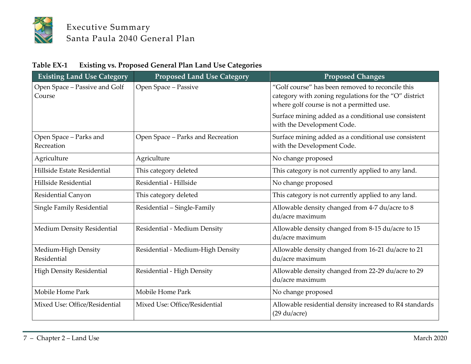

| Table EX-1 | <b>Existing vs. Proposed General Plan Land Use Categories</b> |  |  |
|------------|---------------------------------------------------------------|--|--|
|------------|---------------------------------------------------------------|--|--|

| <b>Existing Land Use Category</b>       | <b>Proposed Land Use Category</b> | <b>Proposed Changes</b>                                                                                                                                |
|-----------------------------------------|-----------------------------------|--------------------------------------------------------------------------------------------------------------------------------------------------------|
| Open Space - Passive and Golf<br>Course | Open Space - Passive              | "Golf course" has been removed to reconcile this<br>category with zoning regulations for the "O" district<br>where golf course is not a permitted use. |
|                                         |                                   | Surface mining added as a conditional use consistent<br>with the Development Code.                                                                     |
| Open Space - Parks and<br>Recreation    | Open Space - Parks and Recreation | Surface mining added as a conditional use consistent<br>with the Development Code.                                                                     |
| Agriculture                             | Agriculture                       | No change proposed                                                                                                                                     |
| Hillside Estate Residential             | This category deleted             | This category is not currently applied to any land.                                                                                                    |
| Hillside Residential                    | Residential - Hillside            | No change proposed                                                                                                                                     |
| Residential Canyon                      | This category deleted             | This category is not currently applied to any land.                                                                                                    |
| Single Family Residential               | Residential - Single-Family       | Allowable density changed from 4-7 du/acre to 8<br>du/acre maximum                                                                                     |
| Medium Density Residential              | Residential - Medium Density      | Allowable density changed from 8-15 du/acre to 15<br>du/acre maximum                                                                                   |
| Medium-High Density<br>Residential      | Residential - Medium-High Density | Allowable density changed from 16-21 du/acre to 21<br>du/acre maximum                                                                                  |
| <b>High Density Residential</b>         | Residential - High Density        | Allowable density changed from 22-29 du/acre to 29<br>du/acre maximum                                                                                  |
| Mobile Home Park                        | Mobile Home Park                  | No change proposed                                                                                                                                     |
| Mixed Use: Office/Residential           | Mixed Use: Office/Residential     | Allowable residential density increased to R4 standards<br>$(29 \text{ du/acre})$                                                                      |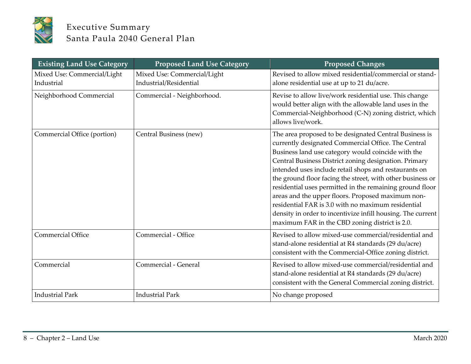

| <b>Existing Land Use Category</b>         | <b>Proposed Land Use Category</b>                     | <b>Proposed Changes</b>                                                                                                                                                                                                                                                                                                                                                                                                                                                                                                                                                                                                                     |
|-------------------------------------------|-------------------------------------------------------|---------------------------------------------------------------------------------------------------------------------------------------------------------------------------------------------------------------------------------------------------------------------------------------------------------------------------------------------------------------------------------------------------------------------------------------------------------------------------------------------------------------------------------------------------------------------------------------------------------------------------------------------|
| Mixed Use: Commercial/Light<br>Industrial | Mixed Use: Commercial/Light<br>Industrial/Residential | Revised to allow mixed residential/commercial or stand-<br>alone residential use at up to 21 du/acre.                                                                                                                                                                                                                                                                                                                                                                                                                                                                                                                                       |
| Neighborhood Commercial                   | Commercial - Neighborhood.                            | Revise to allow live/work residential use. This change<br>would better align with the allowable land uses in the<br>Commercial-Neighborhood (C-N) zoning district, which<br>allows live/work.                                                                                                                                                                                                                                                                                                                                                                                                                                               |
| Commercial Office (portion)               | Central Business (new)                                | The area proposed to be designated Central Business is<br>currently designated Commercial Office. The Central<br>Business land use category would coincide with the<br>Central Business District zoning designation. Primary<br>intended uses include retail shops and restaurants on<br>the ground floor facing the street, with other business or<br>residential uses permitted in the remaining ground floor<br>areas and the upper floors. Proposed maximum non-<br>residential FAR is 3.0 with no maximum residential<br>density in order to incentivize infill housing. The current<br>maximum FAR in the CBD zoning district is 2.0. |
| <b>Commercial Office</b>                  | Commercial - Office                                   | Revised to allow mixed-use commercial/residential and<br>stand-alone residential at R4 standards (29 du/acre)<br>consistent with the Commercial-Office zoning district.                                                                                                                                                                                                                                                                                                                                                                                                                                                                     |
| Commercial                                | Commercial - General                                  | Revised to allow mixed-use commercial/residential and<br>stand-alone residential at R4 standards (29 du/acre)<br>consistent with the General Commercial zoning district.                                                                                                                                                                                                                                                                                                                                                                                                                                                                    |
| <b>Industrial Park</b>                    | <b>Industrial Park</b>                                | No change proposed                                                                                                                                                                                                                                                                                                                                                                                                                                                                                                                                                                                                                          |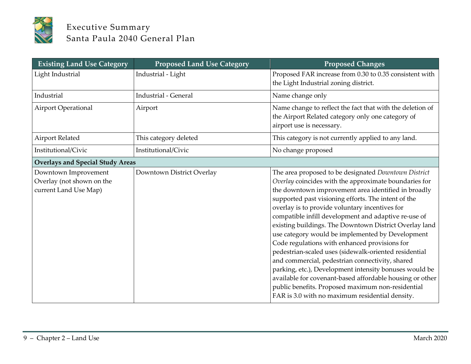

| <b>Existing Land Use Category</b>                                          | <b>Proposed Land Use Category</b> | <b>Proposed Changes</b>                                                                                                                                                                                                                                                                                                                                                                                                                                                                                                                                                                                                                                                                                                                                                                                                                        |
|----------------------------------------------------------------------------|-----------------------------------|------------------------------------------------------------------------------------------------------------------------------------------------------------------------------------------------------------------------------------------------------------------------------------------------------------------------------------------------------------------------------------------------------------------------------------------------------------------------------------------------------------------------------------------------------------------------------------------------------------------------------------------------------------------------------------------------------------------------------------------------------------------------------------------------------------------------------------------------|
| Light Industrial                                                           | Industrial - Light                | Proposed FAR increase from 0.30 to 0.35 consistent with<br>the Light Industrial zoning district.                                                                                                                                                                                                                                                                                                                                                                                                                                                                                                                                                                                                                                                                                                                                               |
| Industrial                                                                 | <b>Industrial - General</b>       | Name change only                                                                                                                                                                                                                                                                                                                                                                                                                                                                                                                                                                                                                                                                                                                                                                                                                               |
| <b>Airport Operational</b>                                                 | Airport                           | Name change to reflect the fact that with the deletion of<br>the Airport Related category only one category of<br>airport use is necessary.                                                                                                                                                                                                                                                                                                                                                                                                                                                                                                                                                                                                                                                                                                    |
| <b>Airport Related</b>                                                     | This category deleted             | This category is not currently applied to any land.                                                                                                                                                                                                                                                                                                                                                                                                                                                                                                                                                                                                                                                                                                                                                                                            |
| Institutional/Civic                                                        | Institutional/Civic               | No change proposed                                                                                                                                                                                                                                                                                                                                                                                                                                                                                                                                                                                                                                                                                                                                                                                                                             |
| <b>Overlays and Special Study Areas</b>                                    |                                   |                                                                                                                                                                                                                                                                                                                                                                                                                                                                                                                                                                                                                                                                                                                                                                                                                                                |
| Downtown Improvement<br>Overlay (not shown on the<br>current Land Use Map) | Downtown District Overlay         | The area proposed to be designated Downtown District<br>Overlay coincides with the approximate boundaries for<br>the downtown improvement area identified in broadly<br>supported past visioning efforts. The intent of the<br>overlay is to provide voluntary incentives for<br>compatible infill development and adaptive re-use of<br>existing buildings. The Downtown District Overlay land<br>use category would be implemented by Development<br>Code regulations with enhanced provisions for<br>pedestrian-scaled uses (sidewalk-oriented residential<br>and commercial, pedestrian connectivity, shared<br>parking, etc.), Development intensity bonuses would be<br>available for covenant-based affordable housing or other<br>public benefits. Proposed maximum non-residential<br>FAR is 3.0 with no maximum residential density. |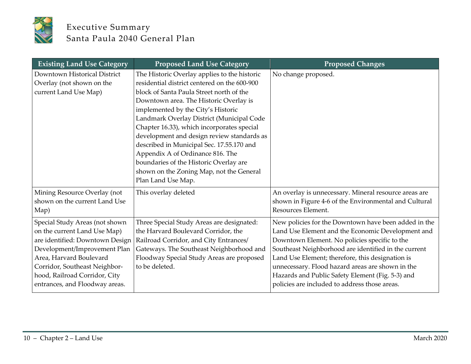

| <b>Existing Land Use Category</b>                                                                                                                                                                                                                                | <b>Proposed Land Use Category</b>                                                                                                                                                                                                                                                                                                                                                                                                                                                                                                                              | <b>Proposed Changes</b>                                                                                                                                                                                                                                                                                                                                                                                                         |
|------------------------------------------------------------------------------------------------------------------------------------------------------------------------------------------------------------------------------------------------------------------|----------------------------------------------------------------------------------------------------------------------------------------------------------------------------------------------------------------------------------------------------------------------------------------------------------------------------------------------------------------------------------------------------------------------------------------------------------------------------------------------------------------------------------------------------------------|---------------------------------------------------------------------------------------------------------------------------------------------------------------------------------------------------------------------------------------------------------------------------------------------------------------------------------------------------------------------------------------------------------------------------------|
| Downtown Historical District<br>Overlay (not shown on the<br>current Land Use Map)                                                                                                                                                                               | The Historic Overlay applies to the historic<br>residential district centered on the 600-900<br>block of Santa Paula Street north of the<br>Downtown area. The Historic Overlay is<br>implemented by the City's Historic<br>Landmark Overlay District (Municipal Code<br>Chapter 16.33), which incorporates special<br>development and design review standards as<br>described in Municipal Sec. 17.55.170 and<br>Appendix A of Ordinance 816. The<br>boundaries of the Historic Overlay are<br>shown on the Zoning Map, not the General<br>Plan Land Use Map. | No change proposed.                                                                                                                                                                                                                                                                                                                                                                                                             |
| Mining Resource Overlay (not<br>shown on the current Land Use<br>Map)                                                                                                                                                                                            | This overlay deleted                                                                                                                                                                                                                                                                                                                                                                                                                                                                                                                                           | An overlay is unnecessary. Mineral resource areas are<br>shown in Figure 4-6 of the Environmental and Cultural<br>Resources Element.                                                                                                                                                                                                                                                                                            |
| Special Study Areas (not shown<br>on the current Land Use Map)<br>are identified: Downtown Design<br>Development/Improvement Plan<br>Area, Harvard Boulevard<br>Corridor, Southeast Neighbor-<br>hood, Railroad Corridor, City<br>entrances, and Floodway areas. | Three Special Study Areas are designated:<br>the Harvard Boulevard Corridor, the<br>Railroad Corridor, and City Entrances/<br>Gateways. The Southeast Neighborhood and<br>Floodway Special Study Areas are proposed<br>to be deleted.                                                                                                                                                                                                                                                                                                                          | New policies for the Downtown have been added in the<br>Land Use Element and the Economic Development and<br>Downtown Element. No policies specific to the<br>Southeast Neighborhood are identified in the current<br>Land Use Element; therefore, this designation is<br>unnecessary. Flood hazard areas are shown in the<br>Hazards and Public Safety Element (Fig. 5-3) and<br>policies are included to address those areas. |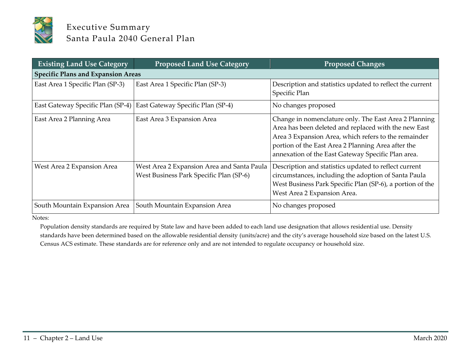

| <b>Existing Land Use Category</b>         | <b>Proposed Land Use Category</b>                                                     | <b>Proposed Changes</b>                                                                                                                                                                                                                                                           |
|-------------------------------------------|---------------------------------------------------------------------------------------|-----------------------------------------------------------------------------------------------------------------------------------------------------------------------------------------------------------------------------------------------------------------------------------|
| <b>Specific Plans and Expansion Areas</b> |                                                                                       |                                                                                                                                                                                                                                                                                   |
| East Area 1 Specific Plan (SP-3)          | East Area 1 Specific Plan (SP-3)                                                      | Description and statistics updated to reflect the current<br>Specific Plan                                                                                                                                                                                                        |
| East Gateway Specific Plan (SP-4)         | East Gateway Specific Plan (SP-4)                                                     | No changes proposed                                                                                                                                                                                                                                                               |
| East Area 2 Planning Area                 | East Area 3 Expansion Area                                                            | Change in nomenclature only. The East Area 2 Planning<br>Area has been deleted and replaced with the new East<br>Area 3 Expansion Area, which refers to the remainder<br>portion of the East Area 2 Planning Area after the<br>annexation of the East Gateway Specific Plan area. |
| West Area 2 Expansion Area                | West Area 2 Expansion Area and Santa Paula<br>West Business Park Specific Plan (SP-6) | Description and statistics updated to reflect current<br>circumstances, including the adoption of Santa Paula<br>West Business Park Specific Plan (SP-6), a portion of the<br>West Area 2 Expansion Area.                                                                         |
| South Mountain Expansion Area             | South Mountain Expansion Area                                                         | No changes proposed                                                                                                                                                                                                                                                               |

Notes:

Population density standards are required by State law and have been added to each land use designation that allows residential use. Density standards have been determined based on the allowable residential density (units/acre) and the city's average household size based on the latest U.S. Census ACS estimate. These standards are for reference only and are not intended to regulate occupancy or household size.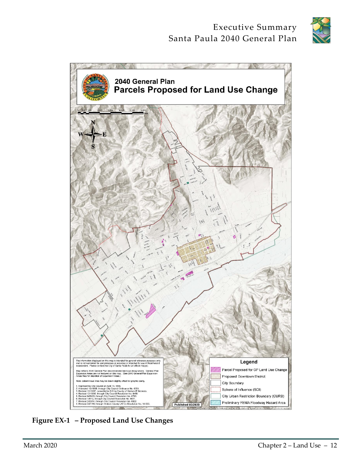



**Figure EX-1 – Proposed Land Use Changes**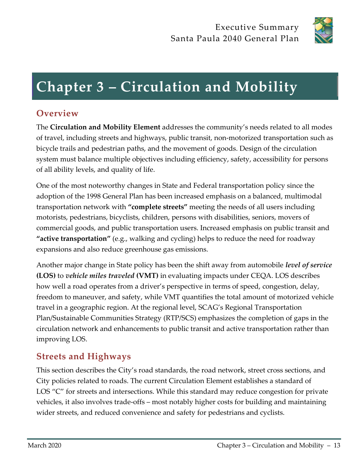

## **Chapter 3 – Circulation and Mobility**

## **Overview**

The **Circulation and Mobility Element** addresses the community's needs related to all modes of travel, including streets and highways, public transit, non-motorized transportation such as bicycle trails and pedestrian paths, and the movement of goods. Design of the circulation system must balance multiple objectives including efficiency, safety, accessibility for persons of all ability levels, and quality of life.

One of the most noteworthy changes in State and Federal transportation policy since the adoption of the 1998 General Plan has been increased emphasis on a balanced, multimodal transportation network with **"complete streets"** meeting the needs of all users including motorists, pedestrians, bicyclists, children, persons with disabilities, seniors, movers of commercial goods, and public transportation users. Increased emphasis on public transit and **"active transportation"** (e.g., walking and cycling) helps to reduce the need for roadway expansions and also reduce greenhouse gas emissions.

Another major change in State policy has been the shift away from automobile *level of service* **(LOS)** to *vehicle miles traveled* **(VMT)** in evaluating impacts under CEQA. LOS describes how well a road operates from a driver's perspective in terms of speed, congestion, delay, freedom to maneuver, and safety, while VMT quantifies the total amount of motorized vehicle travel in a geographic region. At the regional level, SCAG's Regional Transportation Plan/Sustainable Communities Strategy (RTP/SCS) emphasizes the completion of gaps in the circulation network and enhancements to public transit and active transportation rather than improving LOS.

## **Streets and Highways**

This section describes the City's road standards, the road network, street cross sections, and City policies related to roads. The current Circulation Element establishes a standard of LOS "C" for streets and intersections. While this standard may reduce congestion for private vehicles, it also involves trade-offs – most notably higher costs for building and maintaining wider streets, and reduced convenience and safety for pedestrians and cyclists.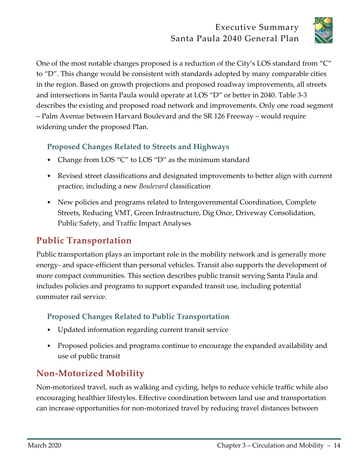

One of the most notable changes proposed is a reduction of the City's LOS standard from "C" to "D". This change would be consistent with standards adopted by many comparable cities in the region. Based on growth projections and proposed roadway improvements, all streets and intersections in Santa Paula would operate at LOS "D" or better in 2040. Table 3-3 describes the existing and proposed road network and improvements. Only one road segment – Palm Avenue between Harvard Boulevard and the SR 126 Freeway – would require widening under the proposed Plan.

#### **Proposed Changes Related to Streets and Highways**

- Change from LOS "C" to LOS "D" as the minimum standard
- Revised street classifications and designated improvements to better align with current practice, including a new *Boulevard* classification
- New policies and programs related to Intergovernmental Coordination, Complete Streets, Reducing VMT, Green Infrastructure, Dig Once, Driveway Consolidation, Public Safety, and Traffic Impact Analyses

## **Public Transportation**

Public transportation plays an important role in the mobility network and is generally more energy- and space-efficient than personal vehicles. Transit also supports the development of more compact communities. This section describes public transit serving Santa Paula and includes policies and programs to support expanded transit use, including potential commuter rail service.

#### **Proposed Changes Related to Public Transportation**

- Updated information regarding current transit service
- Proposed policies and programs continue to encourage the expanded availability and use of public transit

## **Non-Motorized Mobility**

Non-motorized travel, such as walking and cycling, helps to reduce vehicle traffic while also encouraging healthier lifestyles. Effective coordination between land use and transportation can increase opportunities for non-motorized travel by reducing travel distances between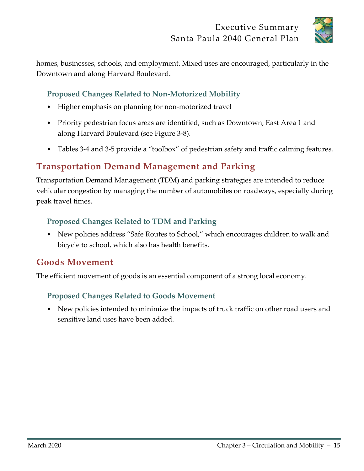

homes, businesses, schools, and employment. Mixed uses are encouraged, particularly in the Downtown and along Harvard Boulevard.

#### **Proposed Changes Related to Non-Motorized Mobility**

- Higher emphasis on planning for non-motorized travel
- Priority pedestrian focus areas are identified, such as Downtown, East Area 1 and along Harvard Boulevard (see Figure 3-8).
- Tables 3-4 and 3-5 provide a "toolbox" of pedestrian safety and traffic calming features.

## **Transportation Demand Management and Parking**

Transportation Demand Management (TDM) and parking strategies are intended to reduce vehicular congestion by managing the number of automobiles on roadways, especially during peak travel times.

#### **Proposed Changes Related to TDM and Parking**

• New policies address "Safe Routes to School," which encourages children to walk and bicycle to school, which also has health benefits.

#### **Goods Movement**

The efficient movement of goods is an essential component of a strong local economy.

#### **Proposed Changes Related to Goods Movement**

• New policies intended to minimize the impacts of truck traffic on other road users and sensitive land uses have been added.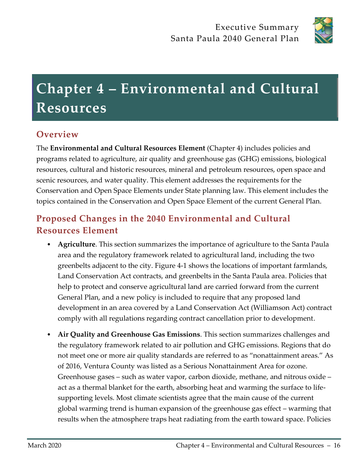

# **Chapter 4 – Environmental and Cultural Resources**

## **Overview**

The **Environmental and Cultural Resources Element** (Chapter 4) includes policies and programs related to agriculture, air quality and greenhouse gas (GHG) emissions, biological resources, cultural and historic resources, mineral and petroleum resources, open space and scenic resources, and water quality. This element addresses the requirements for the Conservation and Open Space Elements under State planning law. This element includes the topics contained in the Conservation and Open Space Element of the current General Plan.

## **Proposed Changes in the 2040 Environmental and Cultural Resources Element**

- **Agriculture**. This section summarizes the importance of agriculture to the Santa Paula area and the regulatory framework related to agricultural land, including the two greenbelts adjacent to the city. Figure 4-1 shows the locations of important farmlands, Land Conservation Act contracts, and greenbelts in the Santa Paula area. Policies that help to protect and conserve agricultural land are carried forward from the current General Plan, and a new policy is included to require that any proposed land development in an area covered by a Land Conservation Act (Williamson Act) contract comply with all regulations regarding contract cancellation prior to development.
- **Air Quality and Greenhouse Gas Emissions**. This section summarizes challenges and the regulatory framework related to air pollution and GHG emissions. Regions that do not meet one or more air quality standards are referred to as "nonattainment areas." As of 2016, Ventura County was listed as a Serious Nonattainment Area for ozone. Greenhouse gases – such as water vapor, carbon dioxide, methane, and nitrous oxide – act as a thermal blanket for the earth, absorbing heat and warming the surface to lifesupporting levels. Most climate scientists agree that the main cause of the current global warming trend is human expansion of the greenhouse gas effect – warming that results when the atmosphere traps heat radiating from the earth toward space. Policies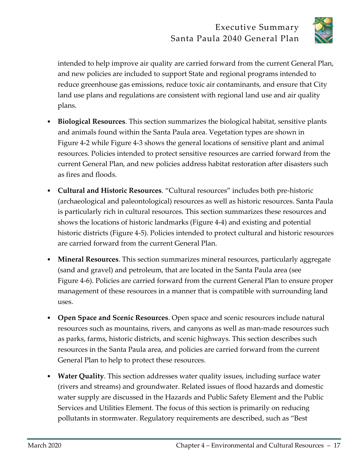

intended to help improve air quality are carried forward from the current General Plan, and new policies are included to support State and regional programs intended to reduce greenhouse gas emissions, reduce toxic air contaminants, and ensure that City land use plans and regulations are consistent with regional land use and air quality plans.

- **Biological Resources**. This section summarizes the biological habitat, sensitive plants and animals found within the Santa Paula area. Vegetation types are shown in Figure 4-2 while Figure 4-3 shows the general locations of sensitive plant and animal resources. Policies intended to protect sensitive resources are carried forward from the current General Plan, and new policies address habitat restoration after disasters such as fires and floods.
- **Cultural and Historic Resources**. "Cultural resources" includes both pre-historic (archaeological and paleontological) resources as well as historic resources. Santa Paula is particularly rich in cultural resources. This section summarizes these resources and shows the locations of historic landmarks (Figure 4-4) and existing and potential historic districts (Figure 4-5). Policies intended to protect cultural and historic resources are carried forward from the current General Plan.
- **Mineral Resources**. This section summarizes mineral resources, particularly aggregate (sand and gravel) and petroleum, that are located in the Santa Paula area (see Figure 4-6). Policies are carried forward from the current General Plan to ensure proper management of these resources in a manner that is compatible with surrounding land uses.
- **Open Space and Scenic Resources**. Open space and scenic resources include natural resources such as mountains, rivers, and canyons as well as man-made resources such as parks, farms, historic districts, and scenic highways. This section describes such resources in the Santa Paula area, and policies are carried forward from the current General Plan to help to protect these resources.
- **Water Quality**. This section addresses water quality issues, including surface water (rivers and streams) and groundwater. Related issues of flood hazards and domestic water supply are discussed in the Hazards and Public Safety Element and the Public Services and Utilities Element. The focus of this section is primarily on reducing pollutants in stormwater. Regulatory requirements are described, such as "Best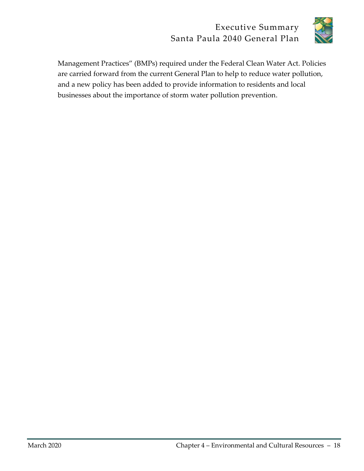

Management Practices" (BMPs) required under the Federal Clean Water Act. Policies are carried forward from the current General Plan to help to reduce water pollution, and a new policy has been added to provide information to residents and local businesses about the importance of storm water pollution prevention.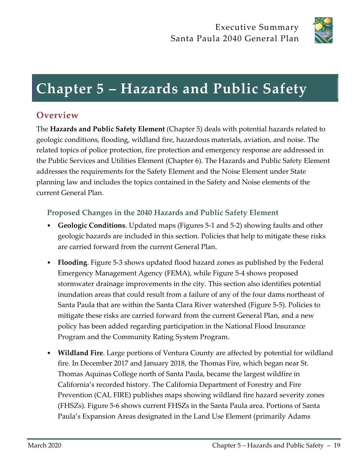

## **Chapter 5 – Hazards and Public Safety**

## **Overview**

The **Hazards and Public Safety Element** (Chapter 5) deals with potential hazards related to geologic conditions, flooding, wildland fire, hazardous materials, aviation, and noise. The related topics of police protection, fire protection and emergency response are addressed in the Public Services and Utilities Element (Chapter 6). The Hazards and Public Safety Element addresses the requirements for the Safety Element and the Noise Element under State planning law and includes the topics contained in the Safety and Noise elements of the current General Plan.

#### **Proposed Changes in the 2040 Hazards and Public Safety Element**

- **Geologic Conditions**. Updated maps (Figures 5-1 and 5-2) showing faults and other geologic hazards are included in this section. Policies that help to mitigate these risks are carried forward from the current General Plan.
- **Flooding**. Figure 5-3 shows updated flood hazard zones as published by the Federal Emergency Management Agency (FEMA), while Figure 5-4 shows proposed stormwater drainage improvements in the city. This section also identifies potential inundation areas that could result from a failure of any of the four dams northeast of Santa Paula that are within the Santa Clara River watershed (Figure 5-5). Policies to mitigate these risks are carried forward from the current General Plan, and a new policy has been added regarding participation in the National Flood Insurance Program and the Community Rating System Program.
- **Wildland Fire**. Large portions of Ventura County are affected by potential for wildland fire. In December 2017 and January 2018, the Thomas Fire, which began near St. Thomas Aquinas College north of Santa Paula, became the largest wildfire in California's recorded history. The California Department of Forestry and Fire Prevention (CAL FIRE) publishes maps showing wildland fire hazard severity zones (FHSZs). Figure 5-6 shows current FHSZs in the Santa Paula area. Portions of Santa Paula's Expansion Areas designated in the Land Use Element (primarily Adams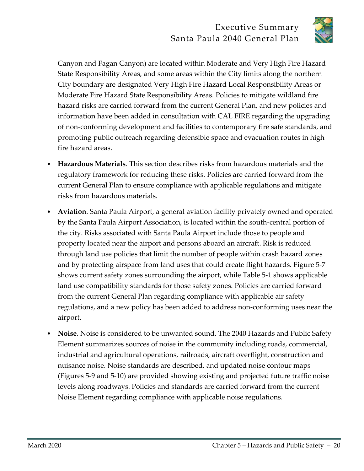

Canyon and Fagan Canyon) are located within Moderate and Very High Fire Hazard State Responsibility Areas, and some areas within the City limits along the northern City boundary are designated Very High Fire Hazard Local Responsibility Areas or Moderate Fire Hazard State Responsibility Areas. Policies to mitigate wildland fire hazard risks are carried forward from the current General Plan, and new policies and information have been added in consultation with CAL FIRE regarding the upgrading of non-conforming development and facilities to contemporary fire safe standards, and promoting public outreach regarding defensible space and evacuation routes in high fire hazard areas.

- **Hazardous Materials**. This section describes risks from hazardous materials and the regulatory framework for reducing these risks. Policies are carried forward from the current General Plan to ensure compliance with applicable regulations and mitigate risks from hazardous materials.
- **Aviation**. Santa Paula Airport, a general aviation facility privately owned and operated by the Santa Paula Airport Association, is located within the south-central portion of the city. Risks associated with Santa Paula Airport include those to people and property located near the airport and persons aboard an aircraft. Risk is reduced through land use policies that limit the number of people within crash hazard zones and by protecting airspace from land uses that could create flight hazards. Figure 5-7 shows current safety zones surrounding the airport, while Table 5-1 shows applicable land use compatibility standards for those safety zones. Policies are carried forward from the current General Plan regarding compliance with applicable air safety regulations, and a new policy has been added to address non-conforming uses near the airport.
- **Noise**. Noise is considered to be unwanted sound. The 2040 Hazards and Public Safety Element summarizes sources of noise in the community including roads, commercial, industrial and agricultural operations, railroads, aircraft overflight, construction and nuisance noise. Noise standards are described, and updated noise contour maps (Figures 5-9 and 5-10) are provided showing existing and projected future traffic noise levels along roadways. Policies and standards are carried forward from the current Noise Element regarding compliance with applicable noise regulations.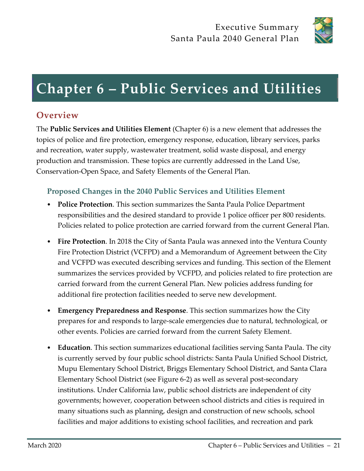

## **Chapter 6 – Public Services and Utilities**

## **Overview**

The **Public Services and Utilities Element** (Chapter 6) is a new element that addresses the topics of police and fire protection, emergency response, education, library services, parks and recreation, water supply, wastewater treatment, solid waste disposal, and energy production and transmission. These topics are currently addressed in the Land Use, Conservation-Open Space, and Safety Elements of the General Plan.

#### **Proposed Changes in the 2040 Public Services and Utilities Element**

- **Police Protection**. This section summarizes the Santa Paula Police Department responsibilities and the desired standard to provide 1 police officer per 800 residents. Policies related to police protection are carried forward from the current General Plan.
- **Fire Protection**. In 2018 the City of Santa Paula was annexed into the Ventura County Fire Protection District (VCFPD) and a Memorandum of Agreement between the City and VCFPD was executed describing services and funding. This section of the Element summarizes the services provided by VCFPD, and policies related to fire protection are carried forward from the current General Plan. New policies address funding for additional fire protection facilities needed to serve new development.
- **Emergency Preparedness and Response**. This section summarizes how the City prepares for and responds to large-scale emergencies due to natural, technological, or other events. Policies are carried forward from the current Safety Element.
- **Education**. This section summarizes educational facilities serving Santa Paula. The city is currently served by four public school districts: Santa Paula Unified School District, Mupu Elementary School District, Briggs Elementary School District, and Santa Clara Elementary School District (see Figure 6-2) as well as several post-secondary institutions. Under California law, public school districts are independent of city governments; however, cooperation between school districts and cities is required in many situations such as planning, design and construction of new schools, school facilities and major additions to existing school facilities, and recreation and park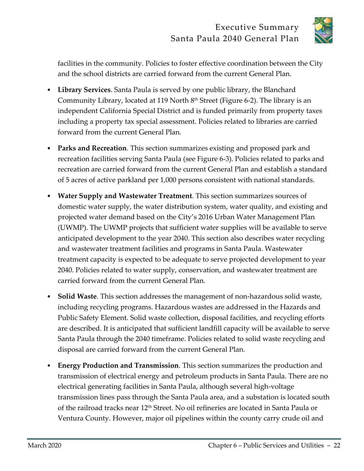

facilities in the community. Policies to foster effective coordination between the City and the school districts are carried forward from the current General Plan.

- **Library Services**. Santa Paula is served by one public library, the Blanchard Community Library, located at 119 North 8th Street (Figure 6-2). The library is an independent California Special District and is funded primarily from property taxes including a property tax special assessment. Policies related to libraries are carried forward from the current General Plan.
- **Parks and Recreation**. This section summarizes existing and proposed park and recreation facilities serving Santa Paula (see Figure 6-3). Policies related to parks and recreation are carried forward from the current General Plan and establish a standard of 5 acres of active parkland per 1,000 persons consistent with national standards.
- **Water Supply and Wastewater Treatment**. This section summarizes sources of domestic water supply, the water distribution system, water quality, and existing and projected water demand based on the City's 2016 Urban Water Management Plan (UWMP). The UWMP projects that sufficient water supplies will be available to serve anticipated development to the year 2040. This section also describes water recycling and wastewater treatment facilities and programs in Santa Paula. Wastewater treatment capacity is expected to be adequate to serve projected development to year 2040. Policies related to water supply, conservation, and wastewater treatment are carried forward from the current General Plan.
- **Solid Waste**. This section addresses the management of non-hazardous solid waste, including recycling programs. Hazardous wastes are addressed in the Hazards and Public Safety Element. Solid waste collection, disposal facilities, and recycling efforts are described. It is anticipated that sufficient landfill capacity will be available to serve Santa Paula through the 2040 timeframe. Policies related to solid waste recycling and disposal are carried forward from the current General Plan.
- **Energy Production and Transmission**. This section summarizes the production and transmission of electrical energy and petroleum products in Santa Paula. There are no electrical generating facilities in Santa Paula, although several high-voltage transmission lines pass through the Santa Paula area, and a substation is located south of the railroad tracks near 12<sup>th</sup> Street. No oil refineries are located in Santa Paula or Ventura County. However, major oil pipelines within the county carry crude oil and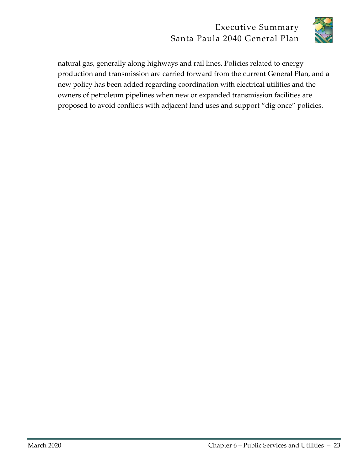

natural gas, generally along highways and rail lines. Policies related to energy production and transmission are carried forward from the current General Plan, and a new policy has been added regarding coordination with electrical utilities and the owners of petroleum pipelines when new or expanded transmission facilities are proposed to avoid conflicts with adjacent land uses and support "dig once" policies.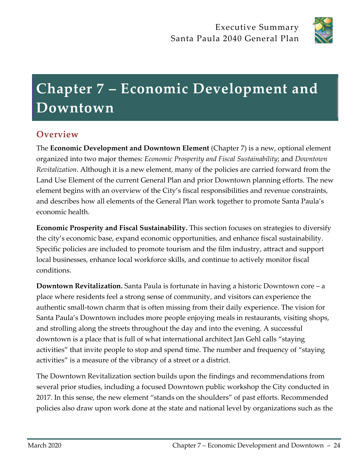

# **Chapter 7 – Economic Development and Downtown**

## **Overview**

The **Economic Development and Downtown Element** (Chapter 7) is a new, optional element organized into two major themes: *Economic Prosperity and Fiscal Sustainability*; and *Downtown Revitalization*. Although it is a new element, many of the policies are carried forward from the Land Use Element of the current General Plan and prior Downtown planning efforts. The new element begins with an overview of the City's fiscal responsibilities and revenue constraints, and describes how all elements of the General Plan work together to promote Santa Paula's economic health.

**Economic Prosperity and Fiscal Sustainability.** This section focuses on strategies to diversify the city's economic base, expand economic opportunities, and enhance fiscal sustainability. Specific policies are included to promote tourism and the film industry, attract and support local businesses, enhance local workforce skills, and continue to actively monitor fiscal conditions.

**Downtown Revitalization.** Santa Paula is fortunate in having a historic Downtown core – a place where residents feel a strong sense of community, and visitors can experience the authentic small-town charm that is often missing from their daily experience. The vision for Santa Paula's Downtown includes more people enjoying meals in restaurants, visiting shops, and strolling along the streets throughout the day and into the evening. A successful downtown is a place that is full of what international architect Jan Gehl calls "staying activities" that invite people to stop and spend time. The number and frequency of "staying activities" is a measure of the vibrancy of a street or a district.

The Downtown Revitalization section builds upon the findings and recommendations from several prior studies, including a focused Downtown public workshop the City conducted in 2017. In this sense, the new element "stands on the shoulders" of past efforts. Recommended policies also draw upon work done at the state and national level by organizations such as the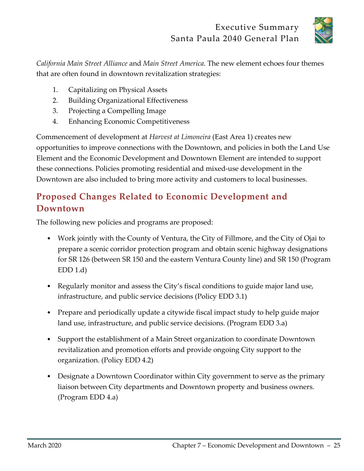

*California Main Street Alliance* and *Main Street America*. The new element echoes four themes that are often found in downtown revitalization strategies:

- 1. Capitalizing on Physical Assets
- 2. Building Organizational Effectiveness
- 3. Projecting a Compelling Image
- 4. Enhancing Economic Competitiveness

Commencement of development at *Harvest at Limoneira* (East Area 1) creates new opportunities to improve connections with the Downtown, and policies in both the Land Use Element and the Economic Development and Downtown Element are intended to support these connections. Policies promoting residential and mixed-use development in the Downtown are also included to bring more activity and customers to local businesses.

## **Proposed Changes Related to Economic Development and Downtown**

The following new policies and programs are proposed:

- Work jointly with the County of Ventura, the City of Fillmore, and the City of Ojai to prepare a scenic corridor protection program and obtain scenic highway designations for SR 126 (between SR 150 and the eastern Ventura County line) and SR 150 (Program  $EDD 1.d$
- Regularly monitor and assess the City's fiscal conditions to guide major land use, infrastructure, and public service decisions (Policy EDD 3.1)
- Prepare and periodically update a citywide fiscal impact study to help guide major land use, infrastructure, and public service decisions. (Program EDD 3.a)
- Support the establishment of a Main Street organization to coordinate Downtown revitalization and promotion efforts and provide ongoing City support to the organization. (Policy EDD 4.2)
- Designate a Downtown Coordinator within City government to serve as the primary liaison between City departments and Downtown property and business owners. (Program EDD 4.a)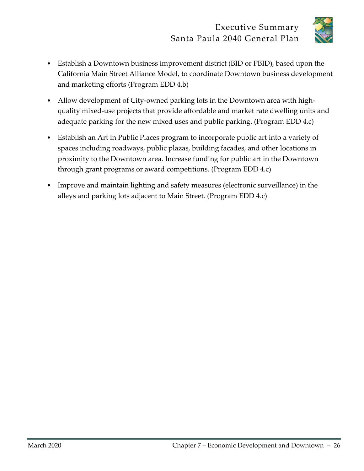

- Establish a Downtown business improvement district (BID or PBID), based upon the California Main Street Alliance Model, to coordinate Downtown business development and marketing efforts (Program EDD 4.b)
- Allow development of City-owned parking lots in the Downtown area with highquality mixed-use projects that provide affordable and market rate dwelling units and adequate parking for the new mixed uses and public parking. (Program EDD 4.c)
- Establish an Art in Public Places program to incorporate public art into a variety of spaces including roadways, public plazas, building facades, and other locations in proximity to the Downtown area. Increase funding for public art in the Downtown through grant programs or award competitions. (Program EDD 4.c)
- Improve and maintain lighting and safety measures (electronic surveillance) in the alleys and parking lots adjacent to Main Street. (Program EDD 4.c)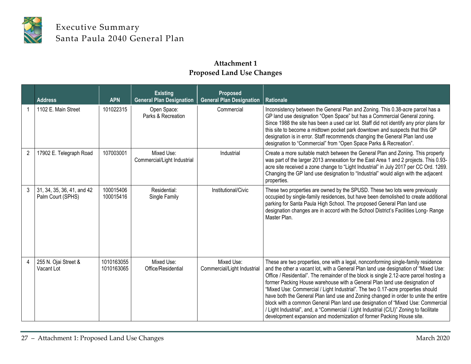

#### **Attachment 1 Proposed Land Use Changes**

|                | <b>Address</b>                                  | <b>APN</b>               | <b>Existing</b><br><b>General Plan Designation</b> | Proposed<br><b>General Plan Designation</b> | <b>Rationale</b>                                                                                                                                                                                                                                                                                                                                                                                                                                                                                                                                                                                                                                                                                                                                                                  |
|----------------|-------------------------------------------------|--------------------------|----------------------------------------------------|---------------------------------------------|-----------------------------------------------------------------------------------------------------------------------------------------------------------------------------------------------------------------------------------------------------------------------------------------------------------------------------------------------------------------------------------------------------------------------------------------------------------------------------------------------------------------------------------------------------------------------------------------------------------------------------------------------------------------------------------------------------------------------------------------------------------------------------------|
|                | 1102 E. Main Street                             | 101022315                | Open Space:<br>Parks & Recreation                  | Commercial                                  | Inconsistency between the General Plan and Zoning. This 0.38-acre parcel has a<br>GP land use designation "Open Space" but has a Commercial General zoning.<br>Since 1988 the site has been a used car lot. Staff did not identify any prior plans for<br>this site to become a midtown pocket park downtown and suspects that this GP<br>designation is in error. Staff recommends changing the General Plan land use<br>designation to "Commercial" from "Open Space Parks & Recreation".                                                                                                                                                                                                                                                                                       |
| $\overline{2}$ | 17902 E. Telegraph Road                         | 107003001                | Mixed Use:<br>Commercial/Light Industrial          | Industrial                                  | Create a more suitable match between the General Plan and Zoning. This property<br>was part of the larger 2013 annexation for the East Area 1 and 2 projects. This 0.93-<br>acre site received a zone change to "Light Industrial" in July 2017 per CC Ord. 1269.<br>Changing the GP land use designation to "Industrial" would align with the adjacent<br>properties.                                                                                                                                                                                                                                                                                                                                                                                                            |
| 3              | 31, 34, 35, 36, 41, and 42<br>Palm Court (SPHS) | 100015406<br>100015416   | Residential:<br>Single Family                      | Institutional/Civic                         | These two properties are owned by the SPUSD. These two lots were previously<br>occupied by single-family residences, but have been demolished to create additional<br>parking for Santa Paula High School. The proposed General Plan land use<br>designation changes are in accord with the School District's Facilities Long-Range<br>Master Plan.                                                                                                                                                                                                                                                                                                                                                                                                                               |
|                | 255 N. Ojai Street &<br>Vacant Lot              | 1010163055<br>1010163065 | Mixed Use:<br>Office/Residential                   | Mixed Use:<br>Commercial/Light Industrial   | These are two properties, one with a legal, nonconforming single-family residence<br>and the other a vacant lot, with a General Plan land use designation of "Mixed Use:<br>Office / Residential". The remainder of the block is single 2.12-acre parcel hosting a<br>former Packing House warehouse with a General Plan land use designation of<br>"Mixed Use: Commercial / Light Industrial". The two 0.17-acre properties should<br>have both the General Plan land use and Zoning changed in order to unite the entire<br>block with a common General Plan land use designation of "Mixed Use: Commercial<br>/ Light Industrial", and, a "Commercial / Light Industrial (C/LI)" Zoning to facilitate<br>development expansion and modernization of former Packing House site. |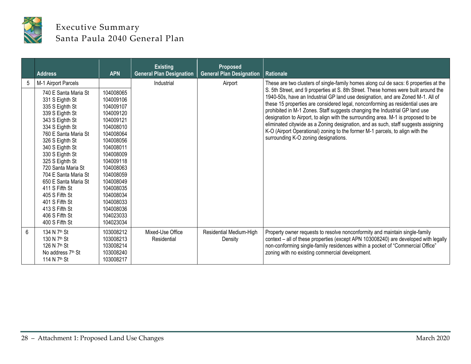

|   | <b>Address</b>                                                                                                                                                                                                                                                                                                                                                                                                                   | <b>APN</b>                                                                                                                                                                                                                                                       | <b>Existing</b><br><b>General Plan Designation</b> | Proposed<br><b>General Plan Designation</b> | <b>Rationale</b>                                                                                                                                                                                                                                                                                                                                                                                                                                                                                                                                                                                                                                                                                                                     |
|---|----------------------------------------------------------------------------------------------------------------------------------------------------------------------------------------------------------------------------------------------------------------------------------------------------------------------------------------------------------------------------------------------------------------------------------|------------------------------------------------------------------------------------------------------------------------------------------------------------------------------------------------------------------------------------------------------------------|----------------------------------------------------|---------------------------------------------|--------------------------------------------------------------------------------------------------------------------------------------------------------------------------------------------------------------------------------------------------------------------------------------------------------------------------------------------------------------------------------------------------------------------------------------------------------------------------------------------------------------------------------------------------------------------------------------------------------------------------------------------------------------------------------------------------------------------------------------|
| 5 | M-1 Airport Parcels<br>740 E Santa Maria St<br>331 S Eighth St<br>335 S Eighth St<br>339 S Eighth St<br>343 S Eighth St<br>334 S Eighth St<br>760 E Santa Maria St<br>326 S Eighth St<br>340 S Eighth St<br>330 S Eighth St<br>325 S Eighth St<br>720 Santa Maria St<br>704 E Santa Maria St<br>650 E Santa Maria St<br>411 S Fifth St<br>405 S Fifth St<br>401 S Fifth St<br>413 S Fifth St<br>406 S Fifth St<br>400 S Fifth St | 104008065<br>104009106<br>104009107<br>104009120<br>104009121<br>104008010<br>104008064<br>104008056<br>104008011<br>104008009<br>104009118<br>104008063<br>104008059<br>104008049<br>104008035<br>104008034<br>104008033<br>104008036<br>104023033<br>104023034 | Industrial                                         | Airport                                     | These are two clusters of single-family homes along cul de sacs: 6 properties at the<br>S. 5th Street, and 9 properties at S. 8th Street. These homes were built around the<br>1940-50s, have an Industrial GP land use designation, and are Zoned M-1. All of<br>these 15 properties are considered legal, nonconforming as residential uses are<br>prohibited in M-1 Zones. Staff suggests changing the Industrial GP land use<br>designation to Airport, to align with the surrounding area. M-1 is proposed to be<br>eliminated citywide as a Zoning designation, and as such, staff suggests assigning<br>K-O (Airport Operational) zoning to the former M-1 parcels, to align with the<br>surrounding K-O zoning designations. |
| 6 | 134 N 7 <sup>th</sup> St<br>130 N 7 <sup>th</sup> St<br>126 N 7 <sup>th</sup> St<br>No address 7th St<br>114 N 7 <sup>th</sup> St                                                                                                                                                                                                                                                                                                | 103008212<br>103008213<br>103008214<br>103008240<br>103008217                                                                                                                                                                                                    | Mixed-Use Office<br>Residential                    | Residential Medium-High<br>Density          | Property owner requests to resolve nonconformity and maintain single-family<br>context - all of these properties (except APN 103008240) are developed with legally<br>non-conforming single-family residences within a pocket of "Commercial Office"<br>zoning with no existing commercial development.                                                                                                                                                                                                                                                                                                                                                                                                                              |